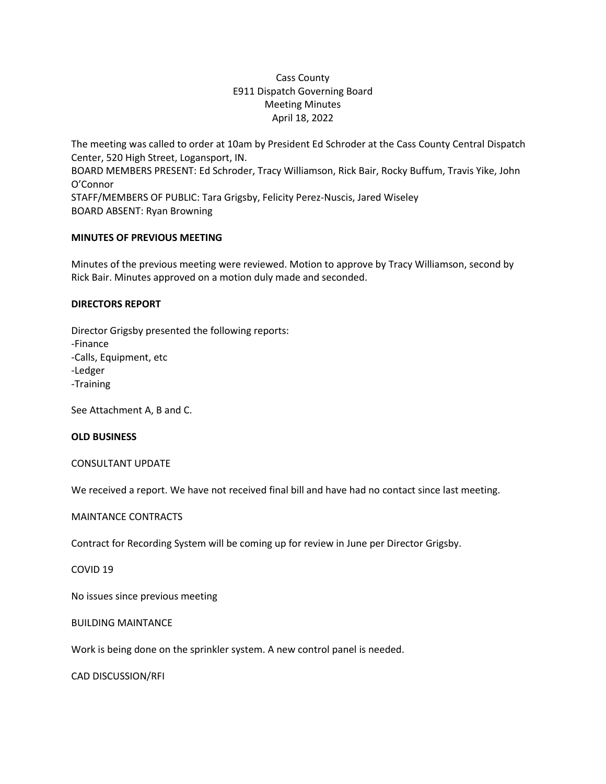# Cass County E911 Dispatch Governing Board Meeting Minutes April 18, 2022

The meeting was called to order at 10am by President Ed Schroder at the Cass County Central Dispatch Center, 520 High Street, Logansport, IN. BOARD MEMBERS PRESENT: Ed Schroder, Tracy Williamson, Rick Bair, Rocky Buffum, Travis Yike, John O'Connor STAFF/MEMBERS OF PUBLIC: Tara Grigsby, Felicity Perez-Nuscis, Jared Wiseley BOARD ABSENT: Ryan Browning

## **MINUTES OF PREVIOUS MEETING**

Minutes of the previous meeting were reviewed. Motion to approve by Tracy Williamson, second by Rick Bair. Minutes approved on a motion duly made and seconded.

#### **DIRECTORS REPORT**

Director Grigsby presented the following reports: -Finance -Calls, Equipment, etc -Ledger -Training

See Attachment A, B and C.

#### **OLD BUSINESS**

## CONSULTANT UPDATE

We received a report. We have not received final bill and have had no contact since last meeting.

#### MAINTANCE CONTRACTS

Contract for Recording System will be coming up for review in June per Director Grigsby.

#### COVID 19

No issues since previous meeting

## BUILDING MAINTANCE

Work is being done on the sprinkler system. A new control panel is needed.

CAD DISCUSSION/RFI